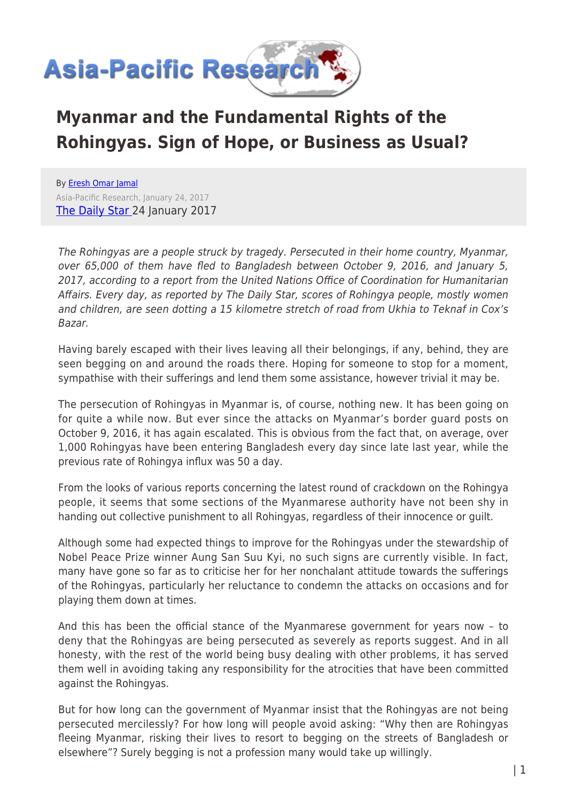

## **Myanmar and the Fundamental Rights of the Rohingyas. Sign of Hope, or Business as Usual?**

By [Eresh Omar Jamal](https://www.asia-pacificresearch.com/author/eresh-omar-jamal) Asia-Pacific Research, January 24, 2017 [The Daily Star 2](http://www.thedailystar.net/opinion/the-overton-window/sign-hope-or-business-usual-1350100)4 January 2017

The Rohingyas are a people struck by tragedy. Persecuted in their home country, Myanmar, over 65,000 of them have fled to Bangladesh between October 9, 2016, and January 5, 2017, according to a report from the United Nations Office of Coordination for Humanitarian Affairs. Every day, as reported by The Daily Star, scores of Rohingya people, mostly women and children, are seen dotting a 15 kilometre stretch of road from Ukhia to Teknaf in Cox's Bazar.

Having barely escaped with their lives leaving all their belongings, if any, behind, they are seen begging on and around the roads there. Hoping for someone to stop for a moment, sympathise with their sufferings and lend them some assistance, however trivial it may be.

The persecution of Rohingyas in Myanmar is, of course, nothing new. It has been going on for quite a while now. But ever since the attacks on Myanmar's border guard posts on October 9, 2016, it has again escalated. This is obvious from the fact that, on average, over 1,000 Rohingyas have been entering Bangladesh every day since late last year, while the previous rate of Rohingya influx was 50 a day.

From the looks of various reports concerning the latest round of crackdown on the Rohingya people, it seems that some sections of the Myanmarese authority have not been shy in handing out collective punishment to all Rohingyas, regardless of their innocence or guilt.

Although some had expected things to improve for the Rohingyas under the stewardship of Nobel Peace Prize winner Aung San Suu Kyi, no such signs are currently visible. In fact, many have gone so far as to criticise her for her nonchalant attitude towards the sufferings of the Rohingyas, particularly her reluctance to condemn the attacks on occasions and for playing them down at times.

And this has been the official stance of the Myanmarese government for years now – to deny that the Rohingyas are being persecuted as severely as reports suggest. And in all honesty, with the rest of the world being busy dealing with other problems, it has served them well in avoiding taking any responsibility for the atrocities that have been committed against the Rohingyas.

But for how long can the government of Myanmar insist that the Rohingyas are not being persecuted mercilessly? For how long will people avoid asking: "Why then are Rohingyas fleeing Myanmar, risking their lives to resort to begging on the streets of Bangladesh or elsewhere"? Surely begging is not a profession many would take up willingly.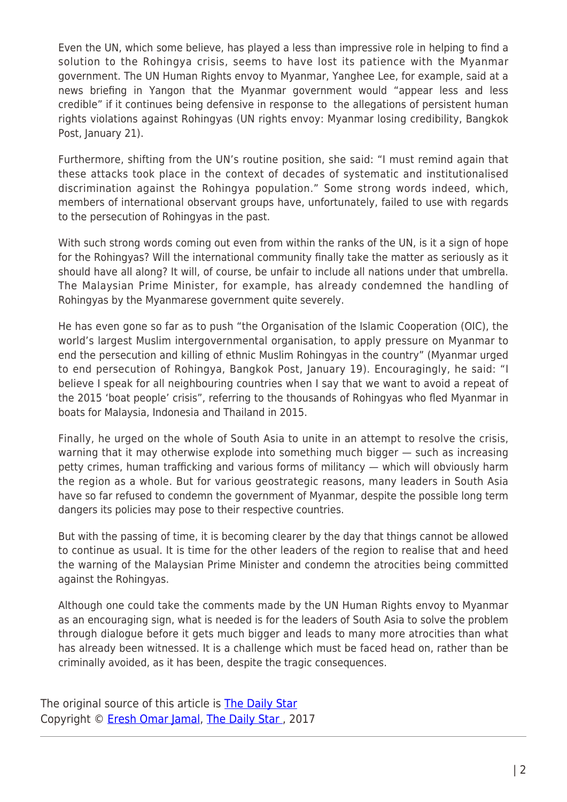Even the UN, which some believe, has played a less than impressive role in helping to find a solution to the Rohingya crisis, seems to have lost its patience with the Myanmar government. The UN Human Rights envoy to Myanmar, Yanghee Lee, for example, said at a news briefing in Yangon that the Myanmar government would "appear less and less credible" if it continues being defensive in response to the allegations of persistent human rights violations against Rohingyas (UN rights envoy: Myanmar losing credibility, Bangkok Post, January 21).

Furthermore, shifting from the UN's routine position, she said: "I must remind again that these attacks took place in the context of decades of systematic and institutionalised discrimination against the Rohingya population." Some strong words indeed, which, members of international observant groups have, unfortunately, failed to use with regards to the persecution of Rohingyas in the past.

With such strong words coming out even from within the ranks of the UN, is it a sign of hope for the Rohingyas? Will the international community finally take the matter as seriously as it should have all along? It will, of course, be unfair to include all nations under that umbrella. The Malaysian Prime Minister, for example, has already condemned the handling of Rohingyas by the Myanmarese government quite severely.

He has even gone so far as to push "the Organisation of the Islamic Cooperation (OIC), the world's largest Muslim intergovernmental organisation, to apply pressure on Myanmar to end the persecution and killing of ethnic Muslim Rohingyas in the country" (Myanmar urged to end persecution of Rohingya, Bangkok Post, January 19). Encouragingly, he said: "I believe I speak for all neighbouring countries when I say that we want to avoid a repeat of the 2015 'boat people' crisis", referring to the thousands of Rohingyas who fled Myanmar in boats for Malaysia, Indonesia and Thailand in 2015.

Finally, he urged on the whole of South Asia to unite in an attempt to resolve the crisis, warning that it may otherwise explode into something much bigger — such as increasing petty crimes, human trafficking and various forms of militancy — which will obviously harm the region as a whole. But for various geostrategic reasons, many leaders in South Asia have so far refused to condemn the government of Myanmar, despite the possible long term dangers its policies may pose to their respective countries.

But with the passing of time, it is becoming clearer by the day that things cannot be allowed to continue as usual. It is time for the other leaders of the region to realise that and heed the warning of the Malaysian Prime Minister and condemn the atrocities being committed against the Rohingyas.

Although one could take the comments made by the UN Human Rights envoy to Myanmar as an encouraging sign, what is needed is for the leaders of South Asia to solve the problem through dialogue before it gets much bigger and leads to many more atrocities than what has already been witnessed. It is a challenge which must be faced head on, rather than be criminally avoided, as it has been, despite the tragic consequences.

The original source of this article is **[The Daily Star](http://www.thedailystar.net/opinion/the-overton-window/sign-hope-or-business-usual-1350100)** Copyright © [Eresh Omar Jamal](https://www.asia-pacificresearch.com/author/eresh-omar-jamal), [The Daily Star ,](http://www.thedailystar.net/opinion/the-overton-window/sign-hope-or-business-usual-1350100) 2017